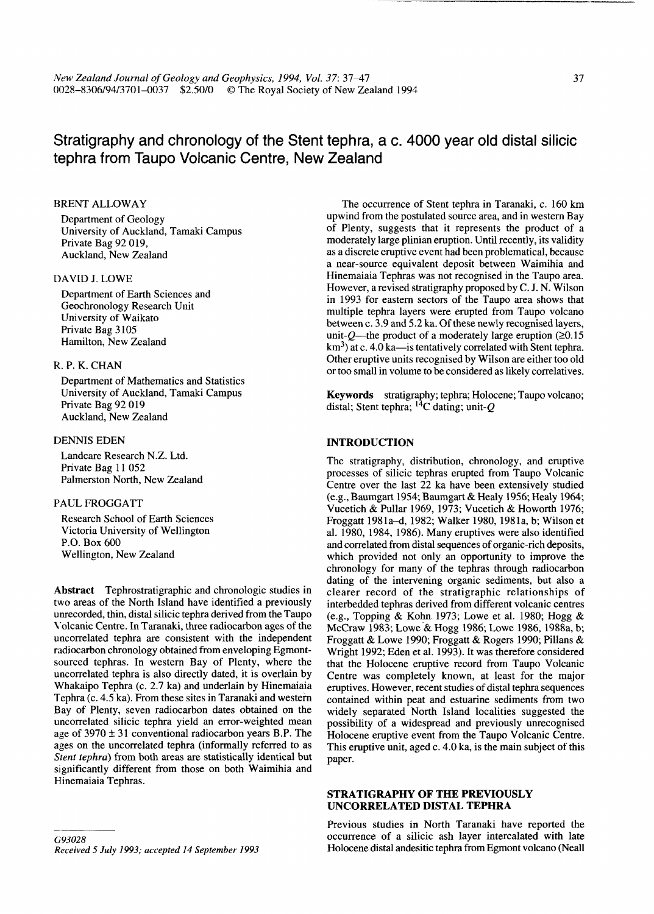# **Stratigraphy and chronology of the Stent tephra, a c. 4000 year old distal silicic tephra from Taupo Volcanic Centre, New Zealand**

# BRENT ALLOWAY

Department of Geology University of Auckland, Tamaki Campus Private Bag 92 019, Auckland, New Zealand

# DAVID J. LOWE

Department of Earth Sciences and Geochronology Research Unit University of Waikato Private Bag 3105 Hamilton, New Zealand

# R. P. K. CHAN

Department of Mathematics and Statistics University of Auckland, Tamaki Campus Private Bag 92 019 Auckland, New Zealand

# DENNIS EDEN

Landcare Research N.Z. Ltd. Private Bag 11 052 Palmerston North, New Zealand

#### PAUL FROGGATT

Research School of Earth Sciences Victoria University of Wellington P.O. Box 600 Wellington, New Zealand

**Abstract** Tephrostratigraphic and chronologic studies in two areas of the North Island have identified a previously unrecorded, thin, distal silicic tephra derived from the Taupo Volcanic Centre. In Taranaki, three radiocarbon ages of the uncorrelated tephra are consistent with the independent radiocarbon chronology obtained from enveloping Egmontsourced tephras. In western Bay of Plenty, where the uncorrelated tephra is also directly dated, it is overlain by Whakaipo Tephra (c. 2.7 ka) and underlain by Hinemaiaia Tephra (c. 4.5 ka). From these sites in Taranaki and western Bay of Plenty, seven radiocarbon dates obtained on the uncorrelated silicic tephra yield an error-weighted mean age of  $3970 \pm 31$  conventional radiocarbon years B.P. The ages on the uncorrelated tephra (informally referred to as *Stent tephra)* from both areas are statistically identical but significantly different from those on both Waimihia and Hinemaiaia Tephras.

The occurrence of Stent tephra in Taranaki, c. 160 km upwind from the postulated source area, and in western Bay of Plenty, suggests that it represents the product of a moderately large plinian eruption. Until recently, its validity as a discrete eruptive event had been problematical, because a near-source equivalent deposit between Waimihia and Hinemaiaia Tephras was not recognised in the Taupo area. However, a revised stratigraphy proposed by C. J. N. Wilson in 1993 for eastern sectors of the Taupo area shows that multiple tephra layers were erupted from Taupo volcano between c. 3.9 and 5.2 ka. Of these newly recognised layers, unit-*O*—the product of a moderately large eruption ( $\geq 0.15$ ) km<sup>3</sup>) at c. 4.0 ka—is tentatively correlated with Stent tephra. Other eruptive units recognised by Wilson are either too old or too small in volume to be considered as likely correlatives.

**Keywords** stratigraphy; tephra; Holocene; Taupo volcano; distal; Stent tephra;  $^{14}$ C dating; unit-Q

#### **INTRODUCTION**

The stratigraphy, distribution, chronology, and eruptive processes of silicic tephras erupted from Taupo Volcanic Centre over the last 22 ka have been extensively studied (e.g., Baumgart 1954; Baumgart & Healy 1956; Healy 1964; Vucetich & Pullar 1969, 1973; Vucetich & Howorth 1976; Froggatt 1981a-d, 1982; Walker 1980,1981a, b; Wilson et al. 1980, 1984, 1986). Many eruptives were also identified and correlated from distal sequences of organic-rich deposits, which provided not only an opportunity to improve the chronology for many of the tephras through radiocarbon dating of the intervening organic sediments, but also a clearer record of the stratigraphic relationships of interbedded tephras derived from different volcanic centres (e.g., Topping & Kohn 1973; Lowe et al. 1980; Hogg  $\&$ McCraw 1983; Lowe & Hogg 1986; Lowe 1986, 1988a, b; Froggatt & Lowe 1990; Froggatt & Rogers 1990; Pillans & Wright 1992; Eden et al. 1993). It was therefore considered that the Holocene eruptive record from Taupo Volcanic Centre was completely known, at least for the major eruptives. However, recent studies of distal tephra sequences contained within peat and estuarine sediments from two widely separated North Island localities suggested the possibility of a widespread and previously unrecognised Holocene eruptive event from the Taupo Volcanic Centre. This eruptive unit, aged c. 4.0 ka, is the main subject of this paper.

# **STRATIGRAPHY OF THE PREVIOUSLY UNCORRELATED DISTAL TEPHRA**

Previous studies in North Taranaki have reported the occurrence of a silicic ash layer intercalated with late Holocene distal andesitic tephra from Egmont volcano (Neall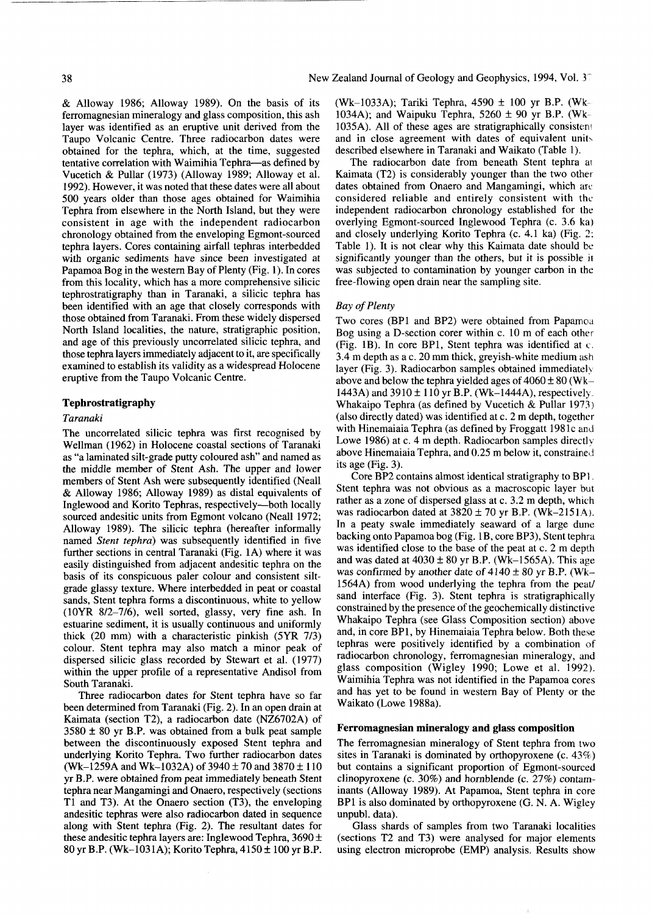& Alloway 1986; Alloway 1989). On the basis of its ferromagnesian mineralogy and glass composition, this ash layer was identified as an eruptive unit derived from the Taupo Volcanic Centre. Three radiocarbon dates were obtained for the tephra, which, at the time, suggested tentative correlation with Waimihia Tephra—as defined by Vucetich & Pullar (1973) (Alloway 1989; Alloway et al. 1992). However, it was noted that these dates were all about 500 years older than those ages obtained for Waimihia Tephra from elsewhere in the North Island, but they were consistent in age with the independent radiocarbon chronology obtained from the enveloping Egmont-sourced tephra layers. Cores containing airfall tephras interbedded with organic sediments have since been investigated at Papamoa Bog in the western Bay of Plenty (Fig. 1). In cores from this locality, which has a more comprehensive silicic tephrostratigraphy than in Taranaki, a silicic tephra has been identified with an age that closely corresponds with those obtained from Taranaki. From these widely dispersed North Island localities, the nature, stratigraphic position, and age of this previously uncorrelated silicic tephra, and those tephra layers immediately adjacent to it, are specifically examined to establish its validity as a widespread Holocene eruptive from the Taupo Volcanic Centre.

# **Tephrostratigraphy**

#### *Taranaki*

The uncorrelated silicic tephra was first recognised by Wellman (1962) in Holocene coastal sections of Taranaki as "a laminated silt-grade putty coloured ash" and named as the middle member of Stent Ash. The upper and lower members of Stent Ash were subsequently identified (Neall & Alloway 1986; Alloway 1989) as distal equivalents of Inglewood and Korito Tephras, respectively—both locally sourced andesitic units from Egmont volcano (Neall 1972; Alloway 1989). The silicic tephra (hereafter informally named *Stent tephra)* was subsequently identified in five further sections in central Taranaki (Fig. 1A) where it was easily distinguished from adjacent andesitic tephra on the basis of its conspicuous paler colour and consistent siltgrade glassy texture. Where interbedded in peat or coastal sands, Stent tephra forms a discontinuous, white to yellow (10YR 8/2-7/6), well sorted, glassy, very fine ash. In estuarine sediment, it is usually continuous and uniformly thick (20 mm) with a characteristic pinkish (5YR 7/3) colour. Stent tephra may also match a minor peak of dispersed silicic glass recorded by Stewart et al. (1977) within the upper profile of a representative Andisol from South Taranaki.

Three radiocarbon dates for Stent tephra have so far been determined from Taranaki (Fig. 2). In an open drain at Kaimata (section T2), a radiocarbon date (NZ6702A) of  $3580 \pm 80$  yr B.P. was obtained from a bulk peat sample between the discontinuously exposed Stent tephra and underlying Korito Tephra. Two further radiocarbon dates (Wk-1259A and Wk-1032A) of 3940  $\pm$  70 and 3870  $\pm$  110 yr B.P. were obtained from peat immediately beneath Stent tephra near Mangamingi and Onaero, respectively (sections Tl and T3). At the Onaero section (T3), the enveloping andesitic tephras were also radiocarbon dated in sequence along with Stent tephra (Fig. 2). The resultant dates for these andesitic tephra layers are: Inglewood Tephra,  $3690 \pm$ 80 yr B.P. (Wk-1031A); Korito Tephra, 4150 ± 100 yr B.P.

(Wk-1033A); Tariki Tephra, 4590 ± 100 yr B.P. (Wk-1034A); and Waipuku Tephra,  $5260 \pm 90$  yr B.P. (Wk-1035A). All of these ages are stratigraphically consisten? and in close agreement with dates of equivalent units described elsewhere in Taranaki and Waikato (Table 1).

The radiocarbon date from beneath Stent tephra ai Kaimata (T2) is considerably younger than the two other dates obtained from Onaero and Mangamingi, which are considered reliable and entirely consistent with the independent radiocarbon chronology established for the overlying Egmont-sourced Inglewood Tephra (c. 3.6 ka) and closely underlying Korito Tephra (c. 4.1 ka) (Fig. 2; Table 1). It is not clear why this Kaimata date should be significantly younger than the others, but it is possible it was subjected to contamination by younger carbon in the free-flowing open drain near the sampling site.

# *Bay of Plenty*

Two cores (BP1 and BP2) were obtained from Papamoa Bog using a D-section corer within c. 10 m of each other (Fig. IB). In core BP1, Stent tephra was identified at c. 3.4 m depth as a c. 20 mm thick, greyish-white medium ash layer (Fig. 3). Radiocarbon samples obtained immediately above and below the tephra yielded ages of  $4060 \pm 80$  (Wk-1443A) and  $3910 \pm 110$  yr B.P. (Wk-1444A), respectively. Whakaipo Tephra (as defined by Vucetich & Pullar 1973) (also directly dated) was identified at c. 2 m depth, together with Hinemaiaia Tephra (as defined by Froggatt 1981c and Lowe 1986) at c. 4 m depth. Radiocarbon samples directly above Hinemaiaia Tephra, and 0.25 m below it, constrained its age (Fig. 3).

Core BP2 contains almost identical stratigraphy to BP1. Stent tephra was not obvious as a macroscopic layer but rather as a zone of dispersed glass at c. 3.2 m depth, which was radiocarbon dated at  $3820 \pm 70$  yr B.P. (Wk-2151A). In a peaty swale immediately seaward of a large dune backing onto Papamoa bog (Fig. IB, core BP3), Stent tephra was identified close to the base of the peat at c. 2 m depth and was dated at  $4030 \pm 80$  yr B.P. (Wk-1565A). This age was confirmed by another date of  $4140 \pm 80$  yr B.P. (Wk-1564A) from wood underlying the tephra from the peat/ sand interface (Fig. 3). Stent tephra is stratigraphically constrained by the presence of the geochemically distinctive Whakaipo Tephra (see Glass Composition section) above and, in core BP1, by Hinemaiaia Tephra below. Both these tephras were positively identified by a combination of radiocarbon chronology, ferromagnesian mineralogy, and glass composition (Wigley 1990; Lowe et al. 1992). Waimihia Tephra was not identified in the Papamoa cores and has yet to be found in western Bay of Plenty or the Waikato (Lowe 1988a).

#### **Ferromagnesian mineralogy and glass composition**

The ferromagnesian mineralogy of Stent tephra from two sites in Taranaki is dominated by orthopyroxene (c. 43%) but contains a significant proportion of Egmont-sourced clinopyroxene (c. 30%) and hornblende (c. 27%) contaminants (Alloway 1989). At Papamoa, Stent tephra in core BP1 is also dominated by orthopyroxene (G. N. A. Wigley unpubl. data).

Glass shards of samples from two Taranaki localities (sections T2 and T3) were analysed for major elements using electron microprobe (EMP) analysis. Results show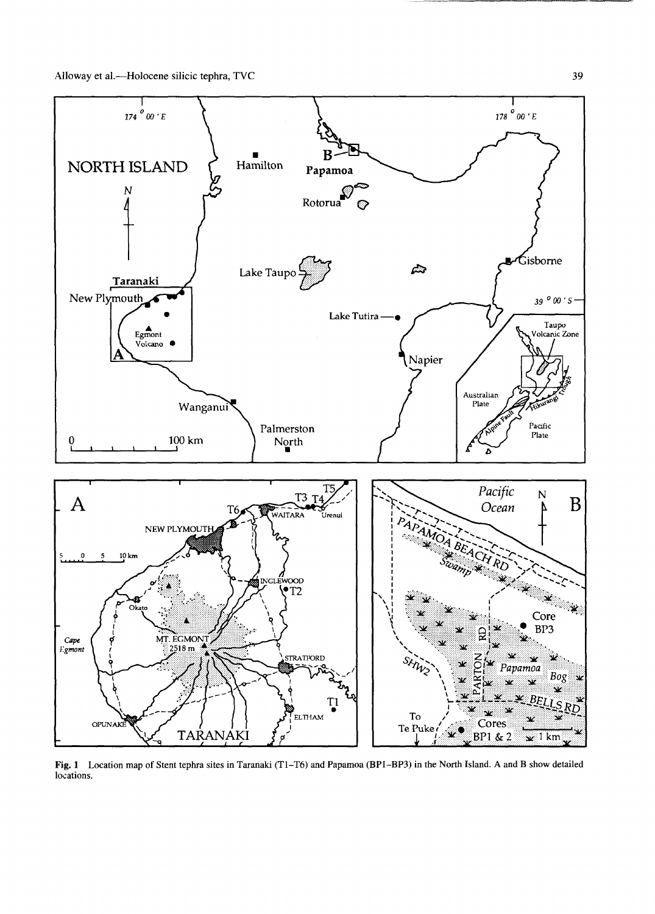

Fig. 1 Location map of Stent tephra sites in Taranaki (T1-T6) and Papamoa (BP1-BP3) in the North Island. A and B show detailed locations.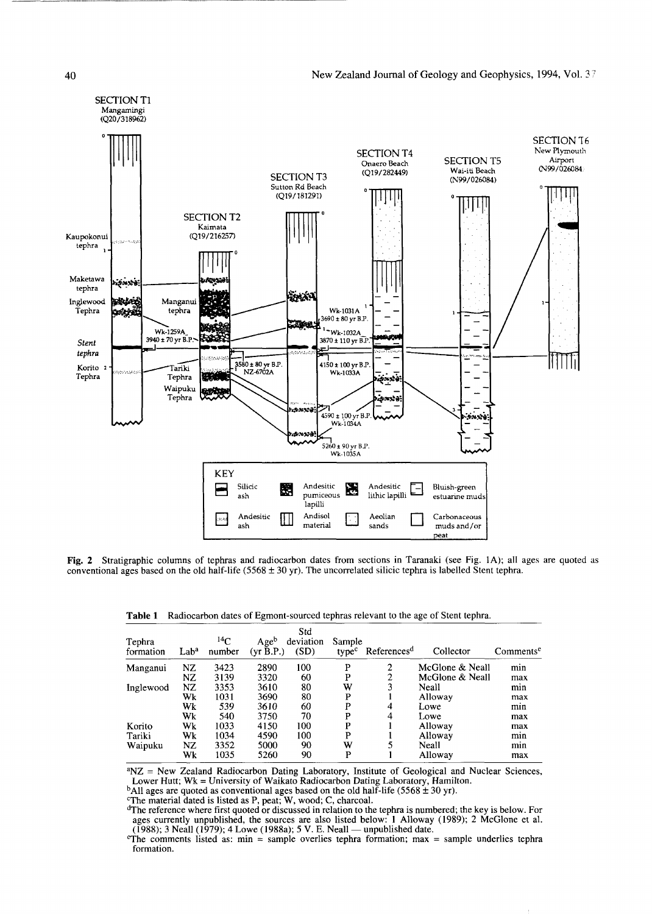

**Fig.** 2 Stratigraphic columns of tephras and radiocarbon dates from sections in Taranaki (see Fig. 1A); all ages are quoted as conventional ages based on the old half-life (5568  $\pm$  30 yr). The uncorrelated silicic tephra is labelled Stent tephra.

|  |  | Table 1 Radiocarbon dates of Egmont-sourced tephras relevant to the age of Stent tephra. |  |
|--|--|------------------------------------------------------------------------------------------|--|
|--|--|------------------------------------------------------------------------------------------|--|

| Tephra<br>formation | Lab <sup>a</sup> | $^{14}$ C<br>number | Ageb<br>(yr B.P.) | Std<br>deviation<br>(SD) | Sample<br>type <sup>c</sup> | References <sup>d</sup> | Collector       | Comments <sup>e</sup> |
|---------------------|------------------|---------------------|-------------------|--------------------------|-----------------------------|-------------------------|-----------------|-----------------------|
| Manganui            | NZ               | 3423                | 2890              | 100                      | P                           | 2                       | McGlone & Neall | min                   |
|                     | NZ               | 3139                | 3320              | 60                       | P                           | 2                       | McGlone & Neall | max                   |
| Inglewood           | NZ               | 3353                | 3610              | 80                       | W                           | 3                       | Neall           | min                   |
|                     | Wk               | 1031                | 3690              | 80                       | P                           |                         | Alloway         | max                   |
|                     | Wk               | 539                 | 3610              | 60                       | P                           | 4                       | Lowe            | min                   |
|                     | Wk               | 540                 | 3750              | 70                       | P                           | 4                       | Lowe            | max                   |
| Korito              | Wk               | 1033                | 4150              | 100                      | P                           |                         | Alloway         | max                   |
| Tariki              | Wk               | 1034                | 4590              | 100                      | P                           |                         | Alloway         | min                   |
| Waipuku             | NZ               | 3352                | 5000              | 90                       | W                           | 5                       | Neall           | min                   |
|                     | Wk               | 1035                | 5260              | 90                       | P                           |                         | Alloway         | max                   |

<sup>a</sup>NZ = New Zealand Radiocarbon Dating Laboratory, Institute of Geological and Nuclear Sciences,

Lower Hutt; Wk = University of Waikato Radiocarbon Dating Laboratory, Hamilton.<br><sup>b</sup>All ages are quoted as conventional ages based on the old half-life (5568 ± 30 yr).

The material dated is listed as P, peat; W, wood; C, charcoal.

<sup>d</sup>The reference where first quoted or discussed in relation to the tephra is numbered; the key is below. For ages currently unpublished, the sources are also listed below: 1 Alloway (1989); 2 McGlone et al. (1988); 3 Neall (1979); 4 Lowe (1988a); 5 V. E. Neall — unpublished date.

 $e^{\theta}$ The comments listed as: min = sample overlies tephra formation; max = sample underlies tephra formation.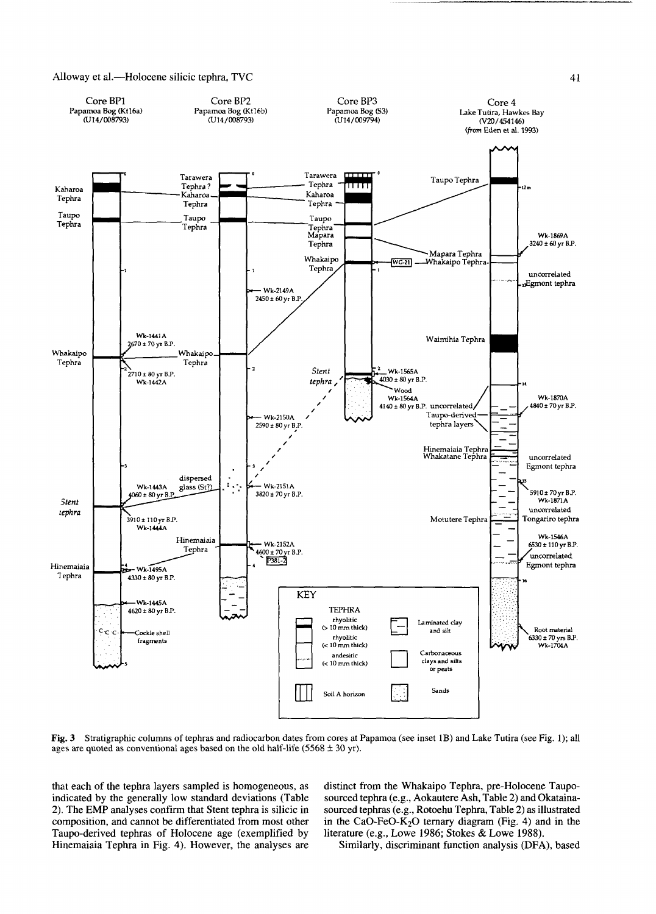

**Fig. 3** Stratigraphic columns of tephras and radiocarbon dates from cores at Papamoa (see inset 1B) and Lake Tutira (see Fig. 1); all ages are quoted as conventional ages based on the old half-life (5568  $\pm$  30 yr).

that each of the tephra layers sampled is homogeneous, as indicated by the generally low standard deviations (Table 2). The EMP analyses confirm that Stent tephra is silicic in composition, and cannot be differentiated from most other Taupo-derived tephras of Holocene age (exemplified by Hinemaiaia Tephra in Fig. 4). However, the analyses are distinct from the Whakaipo Tephra, pre-Holocene Tauposourced tephra (e.g., Aokautere Ash, Table 2) and Okatainasourced tephras (e.g., Rotoehu Tephra, Table 2) as illustrated in the CaO-FeO-K<sub>2</sub>O ternary diagram (Fig. 4) and in the literature (e.g., Lowe 1986; Stokes & Lowe 1988).

Similarly, discriminant function analysis (DFA), based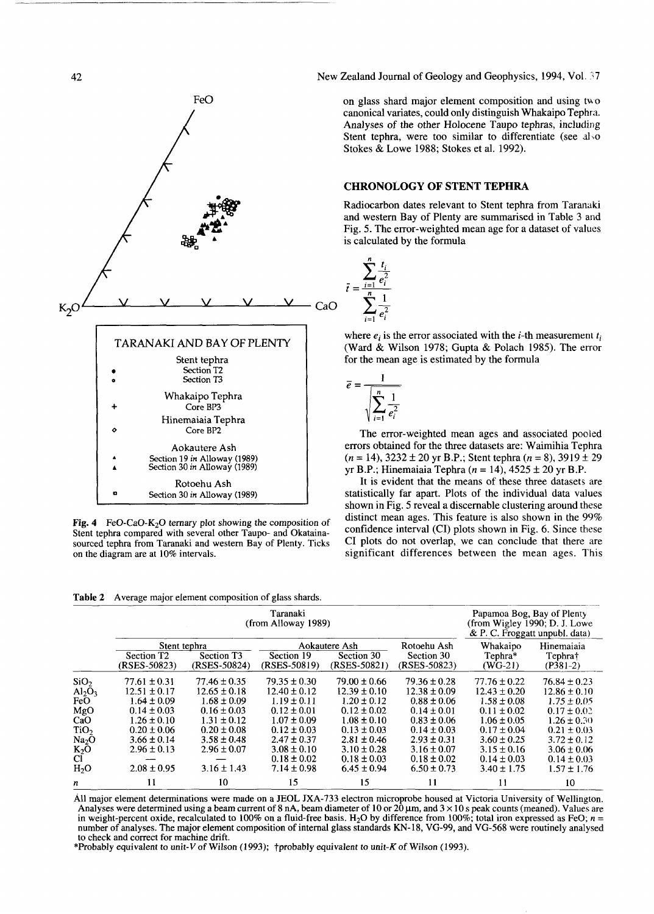

Fig. 4 FeO-CaO-K<sub>2</sub>O ternary plot showing the composition of Stent tephra compared with several other Taupo- and Okatainasourced tephra from Taranaki and western Bay of Plenty. Ticks on the diagram are at 10% intervals.

**Table 2** Average major element composition of glass shards.

|                   |                                                        | Papamoa Bog, Bay of Plenty<br>(from Wigley 1990; D. J. Lowe<br>& P. C. Froggatt unpubl. data) |                                     |                                               |                                           |                                     |                                     |
|-------------------|--------------------------------------------------------|-----------------------------------------------------------------------------------------------|-------------------------------------|-----------------------------------------------|-------------------------------------------|-------------------------------------|-------------------------------------|
|                   | Stent tephra<br>Section T <sub>2</sub><br>(RSES-50823) | Section T <sub>3</sub><br>(RSES-50824)                                                        | Section 19<br>(RSES-50819)          | Aokautere Ash<br>Section 30<br>$(RSES-50821)$ | Rotoehu Ash<br>Section 30<br>(RSES-50823) | Whakaipo<br>Tephra*<br>$(WG-21)$    | Hinemaiaia<br>Tephra†<br>$(P381-2)$ |
| SiO <sub>2</sub>  | $77.61 \pm 0.31$                                       | $77.46 \pm 0.35$                                                                              | $79.35 \pm 0.30$                    | $79.00 \pm 0.66$                              | $79.36 \pm 0.28$                          | $77.76 \pm 0.22$                    | $76.84 \pm 0.23$                    |
| $Al_2O_3$<br>FeO  | $12.51 \pm 0.17$<br>$1.64 \pm 0.09$                    | $12.65 \pm 0.18$<br>$1.68 \pm 0.09$                                                           | $12.40 \pm 0.12$<br>$1.19 \pm 0.11$ | $12.39 \pm 0.10$<br>$1.20 \pm 0.12$           | $12.38 \pm 0.09$<br>$0.88 \pm 0.06$       | $12.43 \pm 0.20$<br>$1.58 \pm 0.08$ | $12.86 \pm 0.10$<br>$1.75 \pm 0.05$ |
| MgO               | $0.14 \pm 0.03$                                        | $0.16 \pm 0.03$                                                                               | $0.12 \pm 0.01$                     | $0.12 \pm 0.02$                               | $0.14 \pm 0.01$                           | $0.11 \pm 0.02$                     | $0.17 \pm 0.02$                     |
| CaO               | $1.26 \pm 0.10$                                        | $1.31 \pm 0.12$                                                                               | $1.07 \pm 0.09$                     | $1.08 \pm 0.10$                               | $0.83 \pm 0.06$                           | $1.06 \pm 0.05$                     | $1.26 \pm 0.30$                     |
| TiO <sub>2</sub>  | $0.20 \pm 0.06$                                        | $0.20 \pm 0.08$                                                                               | $0.12 \pm 0.03$                     | $0.13 \pm 0.03$                               | $0.14 \pm 0.03$                           | $0.17 \pm 0.04$                     | $0.21 \pm 0.03$                     |
| Na <sub>2</sub> O | $3.66 \pm 0.14$                                        | $3.58 \pm 0.48$                                                                               | $2.47 \pm 0.37$                     | $2.81 \pm 0.46$                               | $2.93 \pm 0.31$                           | $3.60 \pm 0.25$                     | $3.72 \pm 0.12$                     |
| $K_2O$            | $2.96 \pm 0.13$                                        | $2.96 \pm 0.07$                                                                               | $3.08 \pm 0.10$                     | $3.10 \pm 0.28$                               | $3.16 \pm 0.07$                           | $3.15 \pm 0.16$                     | $3.06 \pm 0.06$                     |
| Cl.               |                                                        |                                                                                               | $0.18 \pm 0.02$                     | $0.18 \pm 0.03$                               | $0.18 \pm 0.02$                           | $0.14 \pm 0.03$                     | $0.14 \pm 0.03$                     |
| H <sub>2</sub> O  | $2.08 \pm 0.95$                                        | $3.16 \pm 1.43$                                                                               | $7.14 \pm 0.98$                     | $6.45 \pm 0.94$                               | $6.50 \pm 0.73$                           | $3.40 \pm 1.75$                     | $1.57 \pm 1.76$                     |
| n                 | 11                                                     | 10                                                                                            | 15                                  | 15                                            | 11                                        | 11                                  | 10                                  |

All major element determinations were made on a JEOL JXA-733 electron microprobe housed at Victoria University of Wellington. Analyses were determined using a beam current of 8 nA, beam diameter of 10 or  $20 \mu m$ , and  $3 \times 10 s$  peak counts (meaned). Values are in weight-percent oxide, recalculated to 100% on a fluid-free basis. H<sub>2</sub>O by difference from 100%; total iron expressed as FeO;  $n =$ number of analyses. The major element composition of internal glass standards KN-18, VG-99, and VG-568 were routinely analysed to check and correct for machine drift.

\*Probably equivalent to unit-V of Wilson (1993);  $\dagger$ probably equivalent to unit-K of Wilson (1993).

**42** New Zealand Journal of Geology and Geophysics, 1994, Vol. 37

FeO on glass shard major element composition and using two problems. canonical variates, could only distinguish Whakaipo Tephra. Analyses of the other Holocene Taupo tephras, including Stent tephra, were too similar to differentiate (see also Stokes & Lowe 1988; Stokes et al. 1992).

# **CHRONOLOGY OF STENT TEPHRA**

Radiocarbon dates relevant to Stent tephra from Taranaki and western Bay of Plenty are summarised in Table 3 and Fig. 5. The error-weighted mean age for a dataset of values is calculated by the formula



where  $e_i$  is the error associated with the *i*-th measurement  $t_i$ (Ward & Wilson 1978; Gupta & Polach 1985). The error for the mean age is estimated by the formula



The error-weighted mean ages and associated pooled errors obtained for the three datasets are: Waimihia Tephra  $(n = 14)$ ,  $3232 \pm 20$  yr B.P.; Stent tephra  $(n = 8)$ ,  $3919 \pm 29$ yr B.P.; Hinemaiaia Tephra ( $n = 14$ ),  $4525 \pm 20$  yr B.P.

It is evident that the means of these three datasets are statistically far apart. Plots of the individual data values shown in Fig. 5 reveal a discernable clustering around these distinct mean ages. This feature is also shown in the 99% confidence interval (CI) plots shown in Fig. 6. Since these CI plots do not overlap, we can conclude that there are significant differences between the mean ages. This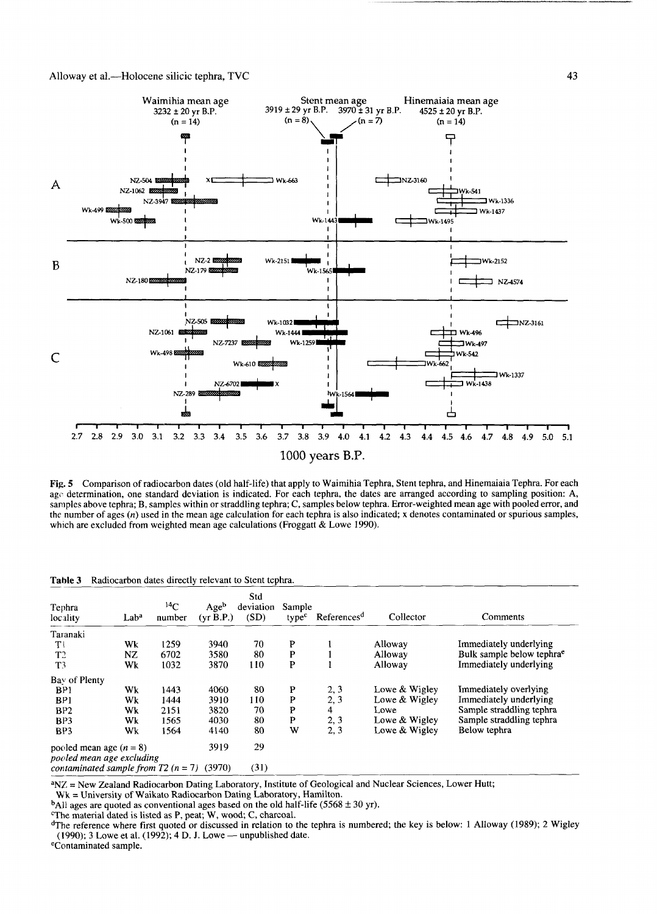

Fig. 5 Comparison of radiocarbon dates (old half-life) that apply to Waimihia Tephra, Stent tephra, and Hinemaiaia Tephra. For each *age* determination, one standard deviation is indicated. For each tephra, the dates are arranged according to sampling position: A, samples above tephra; B, samples within or straddling tephra; C, samples below tephra. Error-weighted mean age with pooled error, and the number of ages *(n)* used in the mean age calculation for each tephra is also indicated; x denotes contaminated or spurious samples, which are excluded from weighted mean age calculations (Froggatt & Lowe 1990).

Table 3 Radiocarbon dates directly relevant to Stent tephra.

| Tephra<br>locality                               | Lab <sup>a</sup> | $^{14}C$<br>number | Ageb<br>(yr B.P.) | Std<br>deviation<br>(SD) | Sample<br>type <sup>c</sup> | References <sup>d</sup> | Collector       | Comments                              |
|--------------------------------------------------|------------------|--------------------|-------------------|--------------------------|-----------------------------|-------------------------|-----------------|---------------------------------------|
| Taranaki                                         |                  |                    |                   |                          |                             |                         |                 |                                       |
| $T^{\dagger}$                                    | Wk               | 1259               | 3940              | 70                       | P                           |                         | Alloway         | Immediately underlying                |
| T <sub>2</sub>                                   | NZ               | 6702               | 3580              | 80                       | P                           |                         | Alloway         | Bulk sample below tephra <sup>e</sup> |
| T <sup>3</sup>                                   | Wk               | 1032               | 3870              | 110                      | P                           |                         | Alloway         | Immediately underlying                |
| Bay of Plenty                                    |                  |                    |                   |                          |                             |                         |                 |                                       |
| BP1                                              | Wk               | 1443               | 4060              | 80                       | P                           | 2, 3                    | Lowe & Wigley   | Immediately overlying                 |
| B <sub>P1</sub>                                  | Wk               | 1444               | 3910              | 110                      | P                           | 2, 3                    | Lowe $&$ Wigley | Immediately underlying                |
| BP2                                              | Wk               | 2151               | 3820              | 70                       | P                           | 4                       | Lowe            | Sample straddling tephra              |
| B <sub>P3</sub>                                  | Wk               | 1565               | 4030              | 80                       | P                           | 2, 3                    | Lowe & Wigley   | Sample straddling tephra              |
| BP3                                              | Wk               | 1564               | 4140              | 80                       | W                           | 2, 3                    | Lowe & Wigley   | Below tephra                          |
| pooled mean age $(n = 8)$                        |                  | 3919               | 29                |                          |                             |                         |                 |                                       |
| pooled mean age excluding                        |                  |                    |                   |                          |                             |                         |                 |                                       |
| contaminated sample from $T2$ ( $n = 7$ ) (3970) |                  |                    |                   | (31)                     |                             |                         |                 |                                       |

<sup>a</sup>NZ = New Zealand Radiocarbon Dating Laboratory, Institute of Geological and Nuclear Sciences, Lower Hutt;

Wk = University of Waikato Radiocarbon Dating Laboratory, Hamilton.

<sup>b</sup>All ages are quoted as conventional ages based on the old half-life (5568  $\pm$  30 yr).

The material dated is listed as P, peat; W, wood; C, charcoal.

<sup>d</sup>The reference where first quoted or discussed in relation to the tephra is numbered; the key is below: 1 Alloway (1989); 2 Wigley (1990); 3 Lowe et al. (1992); 4 D. J. Lowe — unpublished date.

<sup>e</sup>Contaminated sample.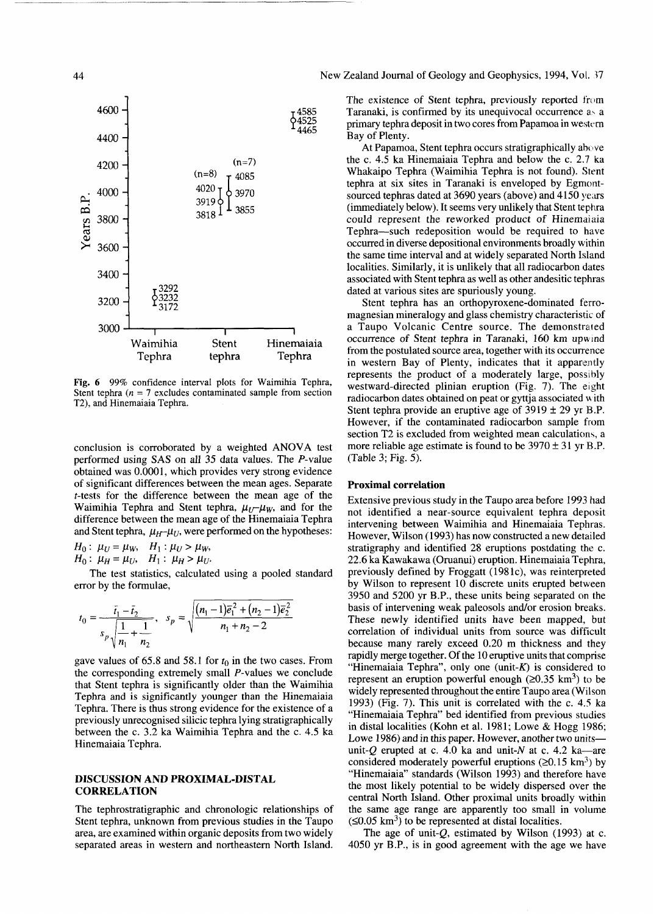

Fig. 6 99% confidence interval plots for Waimihia Tephra, Stent tephra *(n* = 7 excludes contaminated sample from section T2), and Hinemaiaia Tephra.

conclusion is corroborated by a weighted ANOVA test performed using SAS on all 35 data values. The P-value obtained was 0.0001, which provides very strong evidence of significant differences between the mean ages. Separate f-tests for the difference between the mean age of the Waimihia Tephra and Stent tephra,  $\mu_U - \mu_W$ , and for the difference between the mean age of the Hinemaiaia Tephra and Stent tephra,  $\mu_H$ - $\mu_U$ , were performed on the hypotheses:

*H*<sup>0</sup>**:**  $\mu_U = \mu_W$ ,  $H_1: \mu_U > \mu_W$ ,  $H_0: \mu_H = \mu_U, \quad H_1: \mu_H > \mu_U.$ 

The test statistics, calculated using a pooled standard error by the formulae,

$$
t_0 = \frac{\bar{t}_1 - \bar{t}_2}{s_p \sqrt{\frac{1}{n_1} + \frac{1}{n_2}}}, \quad s_p = \sqrt{\frac{(n_1 - 1)\bar{e}_1^2 + (n_2 - 1)\bar{e}_2^2}{n_1 + n_2 - 2}}
$$

gave values of  $65.8$  and  $58.1$  for  $t_0$  in the two cases. From the corresponding extremely small  $P$ -values we conclude that Stent tephra is significantly older than the Waimihia Tephra and is significantly younger than the Hinemaiaia Tephra. There is thus strong evidence for the existence of a previously unrecognised silicic tephra lying stratigraphically between the c. 3.2 ka Waimihia Tephra and the c. 4.5 ka Hinemaiaia Tephra.

# **DISCUSSION AND PROXIMAL-DISTAL CORRELATION**

The tephrostratigraphic and chronologic relationships of Stent tephra, unknown from previous studies in the Taupo area, are examined within organic deposits from two widely separated areas in western and northeastern North Island.

# **44** New Zealand Journal of Geology and Geophysics, 1994, Vol. 37

The existence of Stent tephra, previously reported from Taranaki, is confirmed by its unequivocal occurrence a> a primary tephra deposit in two cores from Papamoa in western Bay of Plenty.

At Papamoa, Stent tephra occurs stratigraphically above the c. 4.5 ka Hinemaiaia Tephra and below the c. 2.7 ka Whakaipo Tephra (Waimihia Tephra is not found). Stent tephra at six sites in Taranaki is enveloped by Egmontsourced tephras dated at 3690 years (above) and 4150 years (immediately below). It seems very unlikely that Stent tephra could represent the reworked product of Hinemaiaia Tephra—such redeposition would be required to have occurred in diverse depositional environments broadly within the same time interval and at widely separated North Island localities. Similarly, it is unlikely that all radiocarbon dates associated with Stent tephra as well as other andesitic tephras dated at various sites are spuriously young.

Stent tephra has an orthopyroxene-dominated ferromagnesian mineralogy and glass chemistry characteristic of a Taupo Volcanic Centre source. The demonstrated occurrence of Stent tephra in Taranaki, 160 km upwind from the postulated source area, together with its occurrence in western Bay of Plenty, indicates that it apparently represents the product of a moderately large, possibly westward-directed plinian eruption (Fig. 7). The eight radiocarbon dates obtained on peat or gyttja associated with Stent tephra provide an eruptive age of  $3919 \pm 29$  yr B.P. However, if the contaminated radiocarbon sample from section T2 is excluded from weighted mean calculations, a more reliable age estimate is found to be  $3970 \pm 31$  yr B.P. (Table 3; Fig. 5).

#### **Proximal correlation**

Extensive previous study in the Taupo area before 1993 had not identified a near-source equivalent tephra deposit intervening between Waimihia and Hinemaiaia Tephras. However, Wilson (1993) has now constructed a new detailed stratigraphy and identified 28 eruptions postdating the c. 22.6 ka Kawakawa (Oruanui) eruption. Hinemaiaia Tephra, previously defined by Froggatt (1981c), was reinterpreted by Wilson to represent 10 discrete units erupted between 3950 and 5200 yr B.P., these units being separated on the basis of intervening weak paleosols and/or erosion breaks. These newly identified units have been mapped, but correlation of individual units from source was difficult because many rarely exceed 0.20 m thickness and they rapidly merge together. Of the 10 eruptive units that comprise "Hinemaiaia Tephra", only one (unit- $K$ ) is considered to represent an eruption powerful enough  $(20.35 \text{ km}^3)$  to be widely represented throughout the entire Taupo area (Wilson 1993) (Fig. 7). This unit is correlated with the c. 4.5 ka "Hinemaiaia Tephra" bed identified from previous studies in distal localities (Kohn et al. 1981; Lowe & Hogg 1986; Lowe 1986) and in this paper. However, another two units unit-Q erupted at c. 4.0 ka and unit-N at c. 4.2 ka—are considered moderately powerful eruptions ( $\geq 0.15$  km<sup>3</sup>) by "Hinemaiaia" standards (Wilson 1993) and therefore have the most likely potential to be widely dispersed over the central North Island. Other proximal units broadly within the same age range are apparently too small in volume The same age range are apparently too small in  $(60.05 \text{ km}^3)$  to be represented at distal localities.

The age of unit- $Q$ , estimated by Wilson (1993) at c. 4050 yr B.P., is in good agreement with the age we have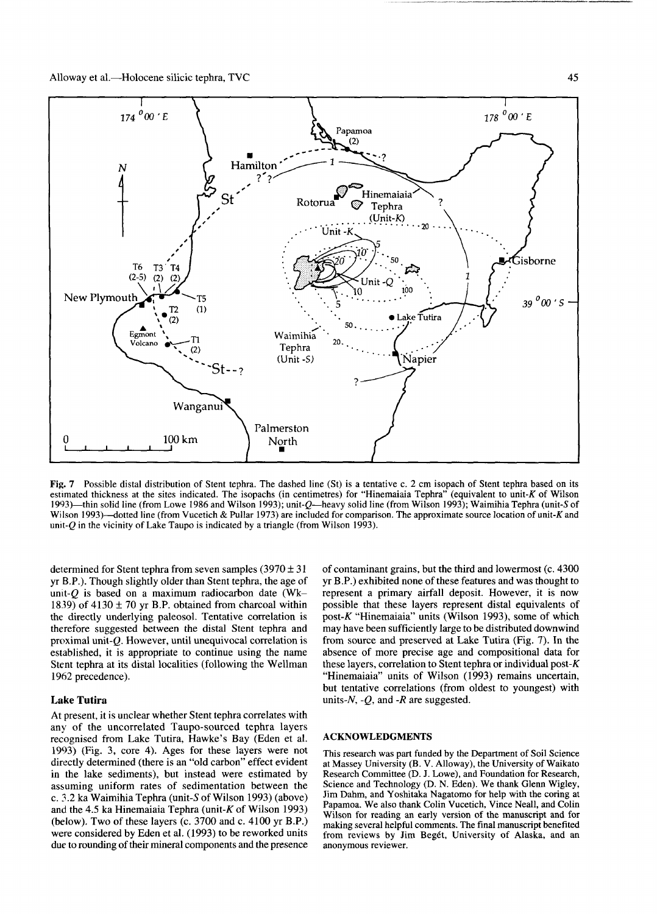

Fig. 7 Possible distal distribution of Stent tephra. The dashed line (St) is a tentative c. 2 cm isopach of Stent tephra based on its estimated thickness at the sites indicated. The isopachs (in centimetres) for "Hinemaiaia Tephra" (equivalent to unit-K of Wilson 1993)—thin solid line (from Lowe 1986 and Wilson 1993); unit-g—heavy solid line (from Wilson 1993); Waimihia Tephra (unit-5 of Wilson 1993)—dotted line (from Vucetich & Pullar 1973) are included for comparison. The approximate source location of unit-K and unit- $Q$  in the vicinity of Lake Taupo is indicated by a triangle (from Wilson 1993).

determined for Stent tephra from seven samples  $(3970 \pm 31)$ yr B.P.). Though slightly older than Stent tephra, the age of *umt-Q* is based on a maximum radiocarbon date (Wk-1839) of 4130  $\pm$  70 yr B.P. obtained from charcoal within the directly underlying paleosol. Tentative correlation is therefore suggested between the distal Stent tephra and proximal unit-g. However, until unequivocal correlation is established, it is appropriate to continue using the name Stent tephra at its distal localities (following the Wellman 1962 precedence).

# **Lake Tutira**

At present, it is unclear whether Stent tephra correlates with any of the uncorrelated Taupo-sourced tephra layers recognised from Lake Tutira, Hawke's Bay (Eden et al. 1993) (Fig. 3, core 4). Ages for these layers were not directly determined (there is an "old carbon" effect evident in the lake sediments), but instead were estimated by assuming uniform rates of sedimentation between the c. 3.2 ka Waimihia Tephra (unit-5 of Wilson 1993) (above) and the 4.5 ka Hinemaiaia Tephra (unit- $K$  of Wilson 1993) (below). Two of these layers (c. 3700 and c. 4100 yr B.P.) were considered by Eden et al. (1993) to be reworked units due to rounding of their mineral components and the presence of contaminant grains, but the third and lowermost (c. 4300 yr B.P.) exhibited none of these features and was thought to represent a primary airfall deposit. However, it is now possible that these layers represent distal equivalents of post- $K$  "Hinemaiaia" units (Wilson 1993), some of which may have been sufficiently large to be distributed downwind from source and preserved at Lake Tutira (Fig. 7). In the absence of more precise age and compositional data for these layers, correlation to Stent tephra or individual post- $K$ "Hinemaiaia" units of Wilson (1993) remains uncertain, but tentative correlations (from oldest to youngest) with units-A^, *-Q,* and *-R* are suggested.

#### ACKNOWLEDGMENTS

This research was part funded by the Department of Soil Science at Massey University (B. V. Alloway), the University of Waikato Research Committee (D. J. Lowe), and Foundation for Research, Science and Technology (D. N. Eden). We thank Glenn Wigley, Jim Dahm, and Yoshitaka Nagatomo for help with the coring at Papamoa. We also thank Colin Vucetich, Vince Neall, and Colin Wilson for reading an early version of the manuscript and for making several helpful comments. The final manuscript benefited from reviews by Jim Begét, University of Alaska, and an anonymous reviewer.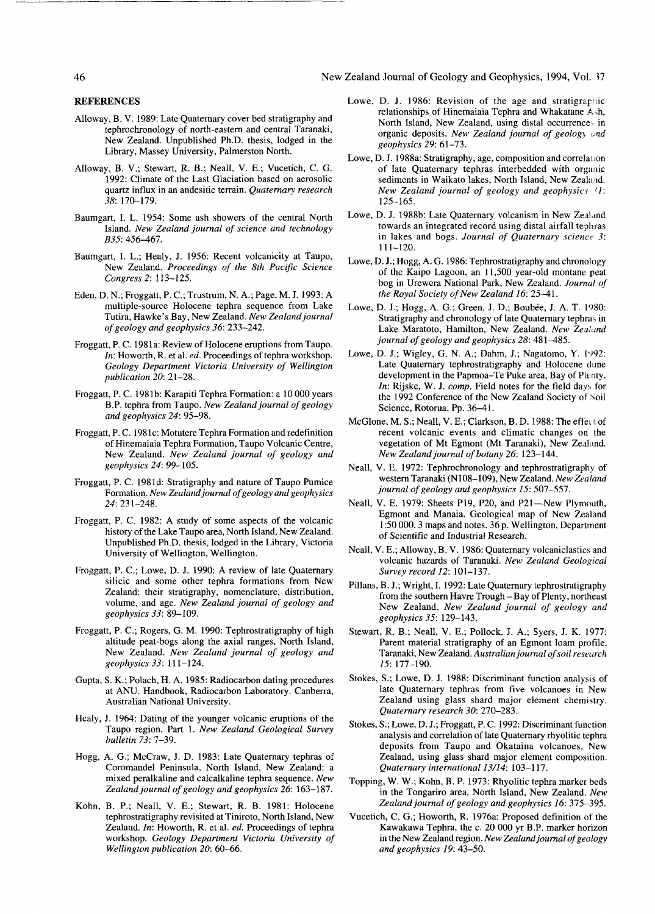#### 46 New Zealand Journal of Geology and Geophysics, 1994, Vol. 57

**REFERENCES**

- Alloway, B. V. 1989: Late Quaternary cover bed stratigraphy and tephrochronology of north-eastern and central Taranaki, New Zealand. Unpublished Ph.D. thesis, lodged in the Library, Massey University, Palmerston North.
- Alloway, B. V.; Stewart, R. B.; Neall, V. E.; Vucetich, C. G. 1992: Climate of the Last Glaciation based on aerosolic quartz influx in an andesitic terrain. *Quaternary research 38:* 170-179.
- Baumgart, I. L. 1954: Some ash showers of the central North Island. *New Zealand journal of science and technology B35:* 456-467.
- Baumgart, I. L.; Healy, J. 1956: Recent volcanicity at Taupo, New Zealand. *Proceedings of the 8th Pacific Science Congress 2:* 113-125.
- Eden, D. N.; Froggatt, P. C; Trustrum, N. A.; Page, M. J. 1993: A multiple-source Holocene tephra sequence from Lake Tutira, Hawke's Bay, New Zealand. *New Zealand journal of geology and geophysics 36:* 233-242.
- Froggatt, P. C. 1981a: Review of Holocene eruptions from Taupo. *In:* Howorth, R. et al. *ed.* Proceedings of tephra workshop. *Geology Department Victoria University of Wellington publication 20:* 21-28.
- Froggatt, P. C. 1981b: Karapiti Tephra Formation: a 10 000 years B.P. tephra from Taupo. *New Zealand journal of geology and geophysics 24:* 95-98.
- Froggatt, P. C. 1981c: Motutere Tephra Formation and redefinition of Hinemaiaia Tephra Formation, Taupo Volcanic Centre, New Zealand. *New Zealand journal of geology and geophysics 24:* 99-105.
- Froggatt, P. C. 1981d: Stratigraphy and nature of Taupo Pumice Formation. *New Zealand journal of geology and geophysics 24:* 231-248.
- Froggatt, P. C. 1982: A study of some aspects of the volcanic history of the Lake Taupo area, North Island, New Zealand. Unpublished Ph.D. thesis, lodged in the Library, Victoria University of Wellington, Wellington.
- Froggatt, P. C; Lowe, D. J. 1990: A review of late Quaternary silicic and some other tephra formations from New Zealand: their stratigraphy, nomenclature, distribution, volume, and age. *New Zealand journal of geology and geophysics 33:* 89-109.
- Froggatt, P. C; Rogers, G. M. 1990: Tephrostratigraphy of high altitude peat-bogs along the axial ranges, North Island, New Zealand. *New Zealand journal of geology and geophysics 33:* 111-124.
- Gupta, S. K.; Polach, H. A. 1985: Radiocarbon dating procedures at ANU. Handbook, Radiocarbon Laboratory. Canberra, Australian National University.
- Healy, J. 1964: Dating of the younger volcanic eruptions of the Taupo region. Part 1. *New Zealand Geological Survey bulletin 73:* 7-39.
- Hogg, A. G.; McCraw, J. D. 1983: Late Quaternary tephras of Coromandel Peninsula, North Island, New Zealand: a mixed peralkaline and calcalkaline tephra sequence. *New Zealand journal of geology and geophysics 26:* 163-187.
- Kohn, B. P.; Neall, V. E.; Stewart, R. B. 1981: Holocene tephrostratigraphy revisited at Tiniroto, North Island, New Zealand. *In:* Howorth, R. et al. *ed.* Proceedings of tephra workshop. *Geology Department Victoria University of Wellington publication 20:* 60-66.
- Lowe, D. J. 1986: Revision of the age and stratigraphic relationships of Hinemaiaia Tephra and Whakatane  $A \, sh$ , North Island, New Zealand, using distal occurrence- in organic deposits. *New Zealand journal of geology and geophysics 29:* 61-73.
- Lowe, D. J. 1988a: Stratigraphy, age, composition and correlation of late Quaternary tephras interbedded with organic sediments in Waikato lakes, North Island, New Zealand. *New Zealand journal of geology and geophysics 'I:* 125-165.
- Lowe, D. J. 1988b: Late Quaternary volcanism in New Zealand towards an integrated record using distal airfall tephras in lakes and bogs. *Journal of Quaternary science 3:* 111-120.
- Lowe, D. J.; Hogg, A. G. 1986: Tephrostratigraphy and chronology of the Kaipo Lagoon, an 11,500 year-old montane peat bog in Urewera National Park, New Zealand. *Journal of the Royal Society of New Zealand 16:* 25^-1.
- Lowe, D. J.; Hogg, A. G.; Green, J. D.; Boubée, J. A. T. 1980: Stratigraphy and chronology of late Quaternary tephras in Lake Maratoto, Hamilton, New Zealand. *New Zealand journal of geology and geophysics 28:* 481^485.
- Lowe, D. J.; Wigley, G. N. A.; Dahm, J.; Nagatomo, Y. 1992: Late Quaternary tephrostratigraphy and Holocene dune development in the Papmoa-Te Puke area, Bay of Plenty. *In:* Rijske, W. J. comp. Field notes for the field days for the 1992 Conference of the New Zealand Society of Soil Science, Rotorua. Pp. 36-41.
- McGlone, M. S.; Neall, V. E.; Clarkson, B. D. 1988: The effect of recent volcanic events and climatic changes on the vegetation of Mt Egmont (Mt Taranaki), New Zealand. *New Zealand journal of botany 26:* 123-144.
- Neall, V. E. 1972: Tephrochronology and tephrostratigraphy of western Taranaki (N108-109), New Zealand. *New Zealand journal of geology and geophysics 15:* 507-557.
- Neall, V. E. 1979: Sheets P19, P20, and P21-New Plymouth, Egmont and Manaia. Geological map of New Zealand 1:50 000.3 maps and notes. 36 p. Wellington, Department of Scientific and Industrial Research.
- Neall, V. E.; Alloway, B. V. 1986: Quaternary volcaniclastics and volcanic hazards of Taranaki. *New Zealand Geological Survey record 12:* 101-137.
- Pillans, B. J.; Wright, I. 1992: Late Quaternary tephrostratigraphy from the southern Havre Trough - Bay of Plenty, northeast New Zealand. *New Zealand journal of geology and geophysics 35:* 129-143.
- Stewart, R. B.; Neall, V. E.; Pollock, J. A.; Syers, J. K. 1977: Parent material stratigraphy of an Egmont loam profile, Taranaki, New Zealand. *Australian journal of soil research 15:* 177-190.
- Stokes, S.; Lowe, D. J. 1988: Discriminant function analysis of late Quaternary tephras from five volcanoes in New Zealand using glass shard major element chemistry. *Quaternary research 30:* 270-283.
- Stokes, S.; Lowe, D. J.; Froggatt, P. C. 1992: Discriminant function analysis and correlation of late Quaternary rhyolitic tephra deposits from Taupo and Okataina volcanoes. New Zealand, using glass shard major element composition. *Quaternary international 13/14:* 103-117.
- Topping, W. W.; Kohn, B. P. 1973: Rhyolitic tephra marker beds in the Tongariro area, North Island, New Zealand. *New Zealand journal of geology and geophysics 16:* 375-395.
- Vucetich, C. G.; Howorth, R. 1976a: Proposed definition of the Kawakawa Tephra, the c. 20 000 yr B.P. marker horizon in the New Zealand region. *New Zealand journal of geology and geophysics 19:* 43-50.